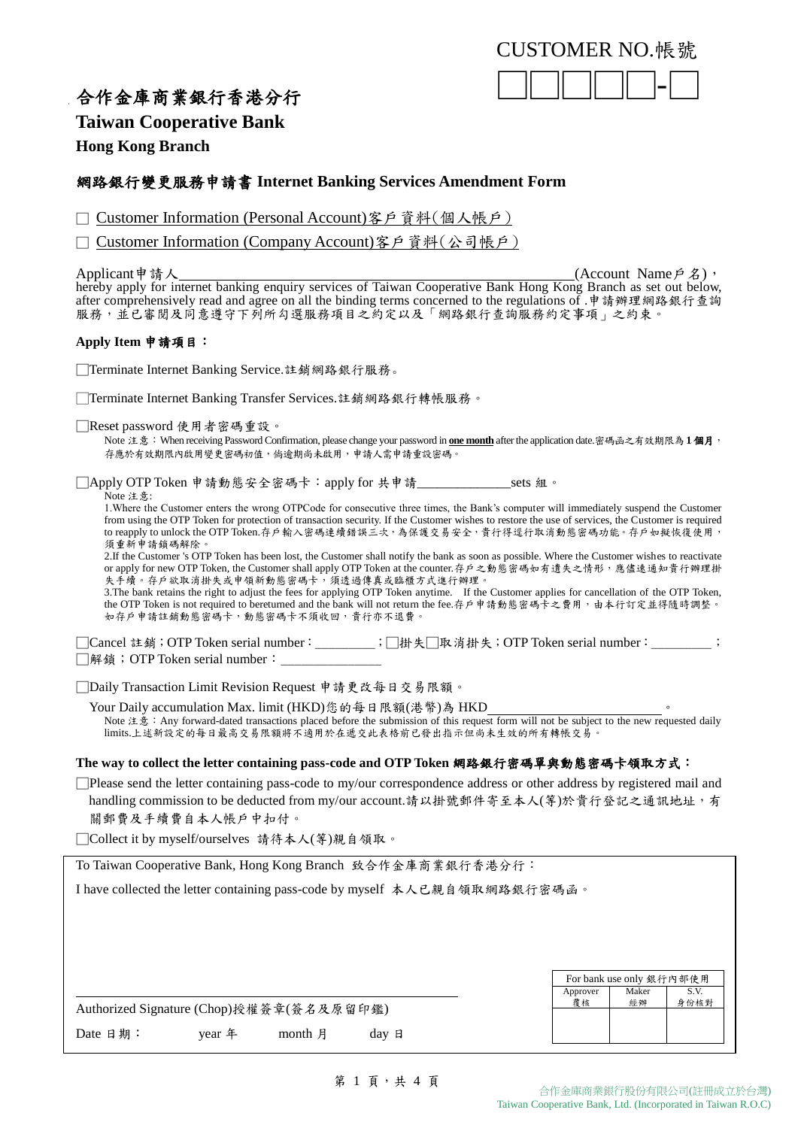

# 合作金庫商業銀行香港分行

## **Taiwan Cooperative Bank**

**Hong Kong Branch**

## 網路銀行變更服務申請書 **Internet Banking Services Amendment Form**

□ Customer Information (Personal Account)客戶資料(個人帳戶)

□ Customer Information (Company Account)客戶資料(公司帳戶)

Applicant申請人\_\_\_\_\_\_\_\_\_\_\_\_\_\_\_\_\_\_\_\_\_\_\_\_\_(Account Name戶名), hereby apply for internet banking enquiry services of Taiwan Cooperative Bank Hong Kong Branch as set out below, after comprehensively read and agree on all the binding terms concerned to the regulations of .申請辦理網路銀行查詢 服務,並已審閱及同意遵守下列所勾選服務項目之約定以及「網路銀行查詢服務約定事項」之約束。

### **Apply Item** 申請項目:

□Terminate Internet Banking Service.註銷網路銀行服務。

□Terminate Internet Banking Transfer Services.註銷網路銀行轉帳服務。

□Reset password 使用者密碼重設。

Note 注意:When receiving Password Confirmation, please change your password in **one month** after the application date.密碼函之有效期限為**1** 個月, 存應於有效期限內啟用變更密碼初值,倘逾期尚未啟用,申請人需申請重設密碼。

□Apply OTP Token 申請動態安全密碼卡:apply for 共申請\_\_\_\_\_\_\_\_\_\_\_\_\_\_sets 組。 Note 注意:

1.Where the Customer enters the wrong OTPCode for consecutive three times, the Bank's computer will immediately suspend the Customer from using the OTP Token for protection of transaction security. If the Customer wishes to restore the use of services, the Customer is required to reapply to unlock the OTP Token.存戶輸入密碼連續錯誤三次,為保護交易安全,貴行得逕行取消動態密碼功能。存戶如擬恢復使用, 須重新申請鎖碼解除。

2.If the Customer 's OTP Token has been lost, the Customer shall notify the bank as soon as possible. Where the Customer wishes to reactivate or apply for new OTP Token, the Customer shall apply OTP Token at the counter.存户之動態密碼如有遺失之情形,應儘速通知貴行辦理掛 or app.ry .or new on new.co., ... concentrated and the set of the set of the condense of the condense of the s<br>失手續。存戶欲取消掛失或申領新動態密碼卡,須透過傳真或臨櫃方式進行辦理

3.The bank retains the right to adjust the fees for applying OTP Token anytime. If the Customer applies for cancellation of the OTP Token, the OTP Token is not required to bereturned and the bank will not return the fee.存户申請動態密碼卡之費用,由本行訂定並得隨時調整。 如存戶申請註銷動態密碼卡,動態密碼卡不須收回,貴行亦不退費

□Cancel 註銷;OTP Token serial number:\_\_\_\_\_\_\_\_\_;□掛失□取消掛失;OTP Token serial number:\_\_\_\_\_\_\_\_\_; □解鎖; OTP Token serial number:

□Daily Transaction Limit Revision Request 申請更改每日交易限額。

Your Daily accumulation Max. limit (HKD)您的每日限額(港幣)為 HKD Note 注意: Any forward-dated transactions placed before the submission of this request form will not be subject to the new requested daily limits.上述新設定的每日最高交易限額將不適用於在遞交此表格前已發出指示但尚未生效的所有轉帳交易。

## **The way to collect the letter containing pass-code and OTP Token** 網路銀行密碼單與動態密碼卡領取方式:

□Please send the letter containing pass-code to my/our correspondence address or other address by registered mail and handling commission to be deducted from my/our account.請以掛號郵件寄至本人(等)於貴行登記之通訊地址,有 關郵費及手續費自本人帳戶中扣付。

□Collect it by myself/ourselves 請待本人(等)親自領取。

To Taiwan Cooperative Bank, Hong Kong Branch 致合作金庫商業銀行香港分行:

I have collected the letter containing pass-code by myself 本人已親自領取網路銀行密碼函。

|                                          |          |         |       |  | For bank use only 銀行內部使用 |             |      |
|------------------------------------------|----------|---------|-------|--|--------------------------|-------------|------|
|                                          |          |         |       |  | Approver                 | Maker<br>經辦 | S.V. |
| Authorized Signature (Chop)授權簽章(簽名及原留印鑑) |          |         |       |  | 覆核                       |             | 身份核對 |
| Date 日期:                                 | vear $#$ | month 月 | day 日 |  |                          |             |      |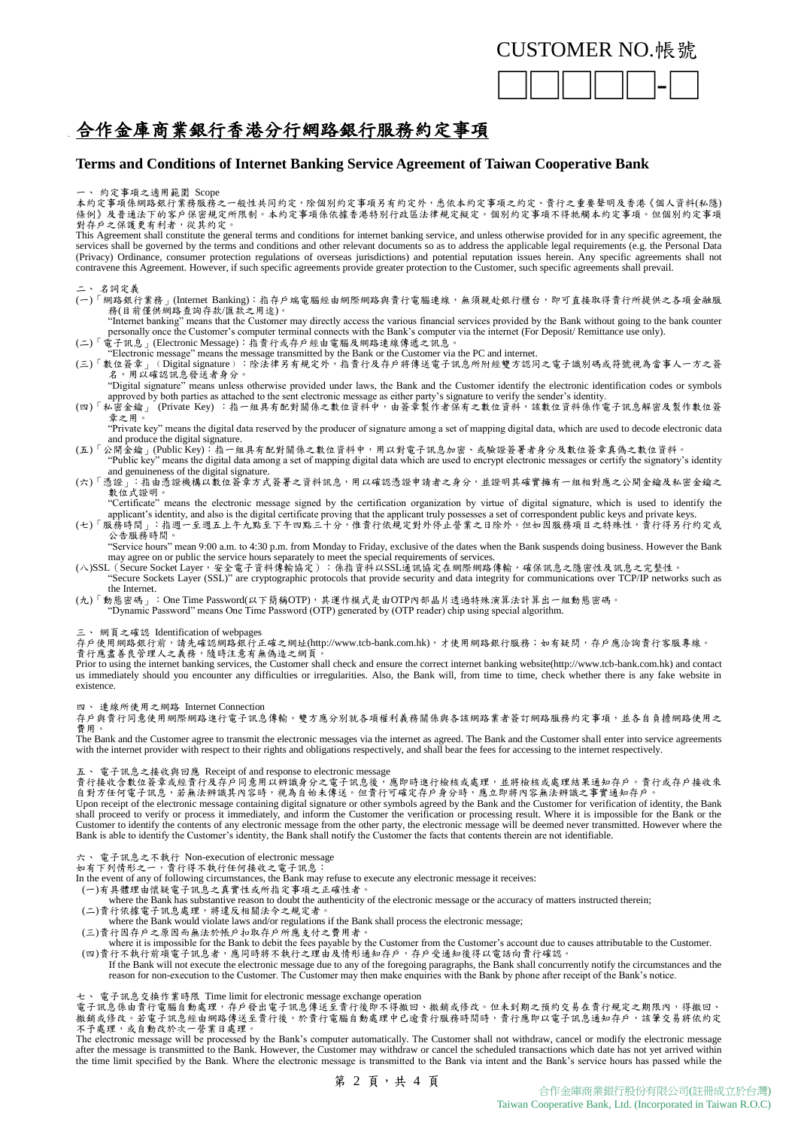

# 合作金庫商業銀行香港分行網路銀行服務約定事項

### **Terms and Conditions of Internet Banking Service Agreement of Taiwan Cooperative Bank**

一、 約定事項之適用範圍 Scope

本約定事項係網路銀行業務服務之一般性共同約定,除個別約定事項另有約定外,悉依本約定事項之約定、貴行之重要聲明及香港《個人資料(私隱) 條例》及普通法下的客戶保密規定所限制。本約定事項係依據香港特別行政區法律規定擬定。個別約定事項不得牴觸本約定事項。但個別約定事項 對存戶之保護更有利者,從其約定。

This Agreement shall constitute the general terms and conditions for internet banking service, and unless otherwise provided for in any specific agreement, the services shall be governed by the terms and conditions and other relevant documents so as to address the applicable legal requirements (e.g. the Personal Data (Privacy) Ordinance, consumer protection regulations of overseas jurisdictions) and potential reputation issues herein. Any specific agreements shall not contravene this Agreement. However, if such specific agreements provide greater protection to the Customer, such specific agreements shall prevail.

### 二、 名詞定義

- (一)「網路銀行業務」(Internet Banking):指存戶端電腦經由網際網路與貴行電腦連線,無須親赴銀行櫃台,即可直接取得貴行所提供之各項金融服 務(目前僅供網路查詢存款/匯款之用途)。
- "Internet banking" means that the Customer may directly access the various financial services provided by the Bank without going to the bank counter personally once the Customer's computer terminal connects with the Bank's (二)「電子訊息」(Electronic Message):指貴行或存戶經由電腦及網路連線傳遞之訊息。
- "Electronic message" means the message transmitted by the Bank or the Customer via the PC and internet.
- (三)「數位簽章」‹Digital signature):除法律另有規定外,指貴行及存戶將傳送電子訊息所附經雙方認同之電子識別碼或符號視為當事人一方之簽 名,用以確認訊息發送者身分。

"Digital signature" means unless otherwise provided under laws, the Bank and the Customer identify the electronic identification codes or symbols approved by both parties as attached to the sent electronic message as either party's signature to verify the sender's identity.

(四)「私密金鑰」 (Private Key) :指一組具有配對關係之數位資料中,由簽章製作者保有之數位資料,該數位資料係作電子訊息解密及製作數位簽 - <sub>山 立 一</sub><br>章之用。

"Private key" means the digital data reserved by the producer of signature among a set of mapping digital data, which are used to decode electronic data and produce the digital signature.

- (五)「公開金鑰」(Public Key):指一組具有配對關係之數位資料中,用以對電子訊息加密、或驗證簽署者身分及數位簽章真偽之數位資料。 Thus  $\frac{1}{2}$  in the Right of the digital data among a set of mapping digital data which are used to encrypt electronic messages or certify the signatory's identity "Public key" means the digital data among a set of mapp and genuineness of the digital signature.
- (六)「憑證」:指由憑證機構以數位簽章方式簽署之資料訊息,用以確認憑證申請者之身分,並證明其確實擁有一組相對應之公開金鑰及私密金鑰之 數位式證明。

"Certificate" means the electronic message signed by the certification organization by virtue of digital signature, which is used to identify the applicant's identity, and also is the digital certificate proving that the applicant truly possesses a set of correspondent public keys and private keys. (七)「服務時間」:指週一至週五上午九點至下午四點三十分,惟貴行依規定對外停止營業之日除外。但如因服務項目之特殊性,貴行得另行約定或

公告服務時間。 "Service hours" mean 9:00 a.m. to 4:30 p.m. from Monday to Friday, exclusive of the dates when the Bank suspends doing business. However the Bank may agree on or public the service hours separately to meet the special requ

(八)SSL (Secure Socket Layer,安全電子資料傳輸協定):係指資料以SSL通訊協定在網際網路傳輸,確保訊息之隱密性及訊息之完整性。

"Secure Sockets Layer (SSL)" are cryptographic protocols that provide security and data integrity for communications over TCP/IP networks such as the Internet.

(九)「動態密碼」:One Time Password(以下簡稱OTP),其運作模式是由OTP內部晶片透過特殊演算法計算出一組動態密碼。

"Dynamic Password" means One Time Password (OTP) generated by (OTP reader) chip using special algorithm.

三、 網頁之確認 Identification of webpages

存戶使用網路銀行前,請先確認網路銀行正確之網址(http://www.tcb-bank.com.hk),才使用網路銀行服務;如有疑問,存戶應洽詢貴行客服專線。

貴行應盡善良管理人之義務,隨時注意有無偽造之網頁。

Prior to using the internet banking services, the Customer shall check and ensure the correct internet banking website(http://www.tcb-bank.com.hk) and contact us immediately should you encounter any difficulties or irregularities. Also, the Bank will, from time to time, check whether there is any fake website in existence.

四、 連線所使用之網路 Internet Connection

存戶與貴行同意使用網際網路進行電子訊息傳輸。雙方應分別就各項權利義務關係與各該網路業者簽訂網路服務約定事項,並各自負擔網路使用之 費用。

The Bank and the Customer agree to transmit the electronic messages via the internet as agreed. The Bank and the Customer shall enter into service agreements with the internet provider with respect to their rights and obligations respectively, and shall bear the fees for accessing to the internet respectively.

### 五、 電子訊息之接收與回應 Receipt of and response to electronic message

貴行接收含數位簽章或經貴行及存戶同意用以辨識身分之電子訊息後,應即時進行檢核或處理,並將檢核或處理結果通知存戶。貴行或存戶接收來 自對方任何電子訊息,若無法辨識其內容時,視為自始未傳送。但貴行可確定存戶身分時,應立即將內容無法辨識之事實通知存戶。

Upon receipt of the electronic message containing digital signature or other symbols agreed by the Bank and the Customer for verification of identity, the Bank shall proceed to verify or process it immediately, and inform the Customer the verification or processing result. Where it is impossible for the Bank or the Customer to identify the contents of any electronic message from the other party, the electronic message will be deemed never transmitted. However where the Bank is able to identify the Customer's identity, the Bank shall notify the Customer the facts that contents therein are not identifiable.

六、 電子訊息之不執行 Non-execution of electronic message

如有下列情形之一,貴行得不執行任何接收之電子訊息:

- In the event of any of following circumstances, the Bank may refuse to execute any electronic message it receives:
- (一)有具體理由懷疑電子訊息之真實性或所指定事項之正確性者。
- where the Bank has substantive reason to doubt the authenticity of the electronic message or the accuracy of matters instructed therein;<br>(二)貴行依據電子訊息處理,將違反相關法令之規定者。
- where the Bank would violate laws and/or regulations if the Bank shall process the electronic message;
- (三)貴行因存戶之原因而無法於帳戶扣取存戶所應支付之費用者。
- where it is impossible for the Bank to debit the fees payable by the Customer from the Customer's account due to causes attributable to the Customer. (四)貴行不執行前項電子訊息者,應同時將不執行之理由及情形通知存戶,存戶受通知後得以電話向貴行確認。

If the Bank will not execute the electronic message due to any of the foregoing paragraphs, the Bank shall concurrently notify the circumstances and the reason for non-execution to the Customer. The Customer may then make

七、 電子訊息交換作業時限 Time limit for electronic message exchange operation 電子訊息係由貴行電腦自動處理,存戶發出電子訊息傳送至貴行後即不得撤回、撤銷或修改。但未到期之預約交易在貴行規定之期限內,得撤回、 撤銷或修改。若電子訊息經由網路傳送至貴行後,於貴行電腦自動處理中已逾貴行服務時間時,貴行應即以電子訊息通知存戶,該筆交易將依約定

不予處理,或自動改於次一營業日處理。<br>The electronic message will be processed by the Bank's computer automatically. The Customer shall not withdraw, cancel or modify the electronic message after the message is transmitted to the Bank. However, the Customer may withdraw or cancel the scheduled transactions which date has not yet arrived within the time limit specified by the Bank. Where the electronic message is transmitted to the Bank via intent and the Bank's service hours has passed while the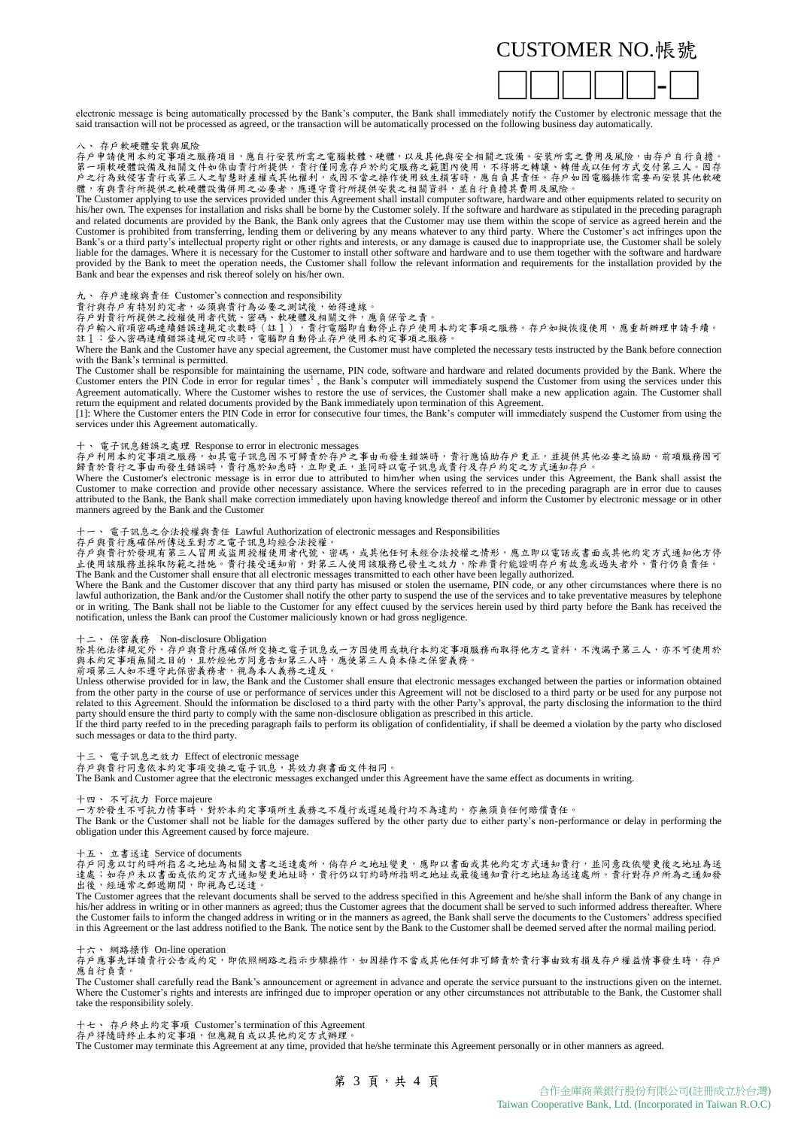

electronic message is being automatically processed by the Bank's computer, the Bank shall immediately notify the Customer by electronic message that the said transaction will not be processed as agreed, or the transaction will be automatically processed on the following business day automatically.

存戶軟硬體安裝與風險

存戶申請使用本約定事項之服務項目,應自行安裝所需之電腦軟體、硬體,以及其他與安全相關之設備。安裝所需之費用及風險,由存戶自行負擔。<br>第一項軟硬體設備及相關文件如係由責行所提供,責行僅同意存戶於約定服務之範圍內使用,不得將之轉讓、轉借或以任何方式交付第三人。因存 戶之行為致侵害貴行或第三人之智慧財產權或其他權利,或因不當之操作使用致生損害時,應自負其責任。存戶如因電腦操作需要而安裝其他軟硬 體,有與貴行所提供之軟硬體設備併用之必要者,應遵守貴行所提供安裝之相關資料,並自行負擔其費用及風險。

The Customer applying to use the services provided under this Agreement shall install computer software, hardware and other equipments related to security on his/her own. The expenses for installation and risks shall be borne by the Customer solely. If the software and hardware as stipulated in the preceding paragraph and related documents are provided by the Bank, the Bank only agrees that the Customer may use them within the scope of service as agreed herein and the Customer is prohibited from transferring, lending them or delivering by any means whatever to any third party. Where the Customer's act infringes upon the Bank's or a third party's intellectual property right or other rights and interests, or any damage is caused due to inappropriate use, the Customer shall be solely liable for the damages. Where it is necessary for the Customer to install other software and hardware and to use them together with the software and hardware provided by the Bank to meet the operation needs, the Customer shall follow the relevant information and requirements for the installation provided by the Bank and bear the expenses and risk thereof solely on his/her own.

九、 存戶連線與責任 Customer's connection and responsibility

貴行與存戶有特別約定者,必須與貴行為必要之測試後,始得連線。

存戶對貴行所提供之授權使用者代號、密碼、軟硬體及相關文件,應負保管之責。<br>存戶輸入前項密碼連續錯誤達規定次數時(註1),貴行電腦即自動停止存戶使用本約定事項之服務。存戶如擬恢復使用,應重新辦理申請手續。 註1:登入密碼連續錯誤達規定四次時,電腦即自動停止存戶使用本約定事項之服務。

Where the Bank and the Customer have any special agreement, the Customer must have completed the necessary tests instructed by the Bank before connection with the Bank's terminal is permitted.

The Customer shall be responsible for maintaining the username, PIN code, software and hardware and related documents provided by the Bank. Where the Customer enters the PIN Code in error for regular times<sup>1</sup>, the Bank's c Agreement automatically. Where the Customer wishes to restore the use of services, the Customer shall make a new application again. The Customer shall return the equipment and related documents provided by the Bank immediately upon termination of this Agreement.

[1]: Where the Customer enters the PIN Code in error for consecutive four times, the Bank's computer will immediately suspend the Customer from using the services under this Agreement automatically.

### 十、 電子訊息錯誤之處理 Response to error in electronic messages

存戶利用本約定事項之服務,如其電子訊息因不可歸責於存戶之事由而發生錯誤時,責行應協助存戶更正,並提供其他必要之協助。前項服務因可 歸責於貴行之事由而發生錯誤時,責行應於知悉時,立即更正,並同時以電子訊息或貴行及存戶約定之方式通知存戶。

Where the Customer's electronic message is in error due to attributed to him/her when using the services under this Agreement, the Bank shall assist the Customer to make correction and provide other necessary assistance. Where the services referred to in the preceding paragraph are in error due to causes attributed to the Bank, the Bank shall make correction immediately upon having knowledge thereof and inform the Customer by electronic message or in other manners agreed by the Bank and the Customer

### 十一、 電子訊息之合法授權與責任 Lawful Authorization of electronic messages and Responsibilities

存戶與貴行應確保所傳送至對方之電子訊息均經合法授權。

存戶與貴行於發現有第三人冒用或盜用授權使用者代號、密碼,或其他任何未經合法授權之情形,應立即以電話或書面或其他約定方式通知他方停 止使用該服務並採取防範之措施。貴行接受通知前,對第三人使用該服務已發生之效力,除非貴行能證明存戶有故意或過失者外,貴行仍負責任。 The Bank and the Customer shall ensure that all electronic messages transmitted to each other have been legally authorized.

Where the Bank and the Customer discover that any third party has misused or stolen the username, PIN code, or any other circumstances where there is no lawful authorization, the Bank and/or the Customer shall notify the other party to suspend the use of the services and to take preventative measures by telephone or in writing. The Bank shall not be liable to the Customer for any effect cuused by the services herein used by third party before the Bank has received the notification, unless the Bank can proof the Customer maliciously known or had gross negligence.

十二、 保密義務 Non-disclosure Obligation

除其他法律規定外,存戶與貴行應確保所交換之電子訊息或一方因使用或執行本約定事項服務而取得他方之資料,不洩漏予第三人,亦不可使用於 與本約定事項無關之目的,且於經他方同意告知第三人時,應使第三人負本條之保密義務。

前項第三人如不遵守此保密義務者,視為本人義務之違反。<br>Unless otherwise provided for in law, the Bank and the Customer shall ensure that electronic messages exchanged between the parties or information obtained from the other party in the course of use or performance of services under this Agreement will not be disclosed to a third party or be used for any purpose not related to this Agreement. Should the information be disclosed to a third party with the other Party's approval, the party disclosing the information to the third party should ensure the third party to comply with the same non-disclosure obligation as prescribed in this article.

If the third party reefed to in the preceding paragraph fails to perform its obligation of confidentiality, if shall be deemed a violation by the party who disclosed such messages or data to the third party.

十三、 電子訊息之效力 Effect of electronic message

存戶與貴行同意依本約定事項交換之電子訊息,其效力與書面文件相同。

The Bank and Customer agree that the electronic messages exchanged under this Agreement have the same effect as documents in writing.

十四、 不可抗力 Force majeure

一方於發生不可抗力情事時,對於本約定事項所生義務之不履行或遲延履行均不為違約,亦無須負任何賠償責任。

The Bank or the Customer shall not be liable for the damages suffered by the other party due to either party's non-performance or delay in performing the obligation under this Agreement caused by force majeure.

十五、 立書送達 Service of documents

存戶同意以訂約時所指名之地址為相關文書之送達處所,倘存戶之地址變更,應即以書面或其他約定方式通知責行,並同意改依變更後之地址為送<br>達處;如存戶未以書面或依約定方式通知變更地址時,貴行仍以訂約時所指明之地址或最後通知貴行之地址為送達處所。貴行對存戶所為之通知發 出後,經通常之郵遞期間,即視為已送達。

The Customer agrees that the relevant documents shall be served to the address specified in this Agreement and he/she shall inform the Bank of any change in<br>his/her address in writing or in other manners as agreed; thus th the Customer fails to inform the changed address in writing or in the manners as agreed, the Bank shall serve the documents to the Customers' address specified in this Agreement or the last address notified to the Bank. The notice sent by the Bank to the Customer shall be deemed served after the normal mailing period.

十六、 網路操作 On-line operation

存戶應事先詳讀貴行公告或約定,即依照網路之指示步驟操作,如因操作不當或其他任何非可歸責於貴行事由致有損及存戶權益情事發生時,存戶<br>應自行負責。

The Customer shall carefully read the Bank's announcement or agreement in advance and operate the service pursuant to the instructions given on the internet. Where the Customer's rights and interests are infringed due to improper operation or any other circumstances not attributable to the Bank, the Customer shall take the responsibility solely.

十七、 存戶終止約定事項 Customer's termination of this Agreement 存戶得隨時終止本約定事項,但應親自或以其他約定方式辦理。

The Customer may terminate this Agreement at any time, provided that he/she terminate this Agreement personally or in other manners as agreed.